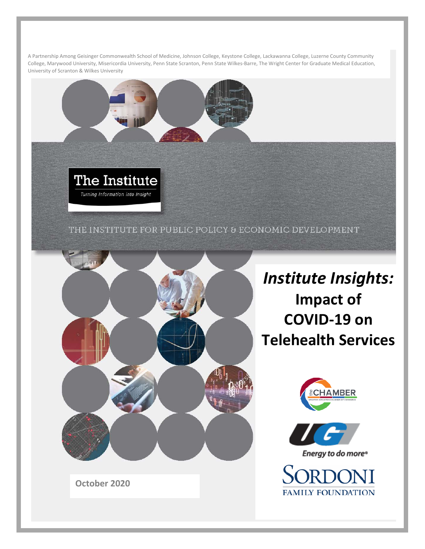A Partnership Among Geisinger Commonwealth School of Medicine, Johnson College, Keystone College, Lackawanna College, Luzerne County Community College, Marywood University, Misericordia University, Penn State Scranton, Penn State Wilkes-Barre, The Wright Center for Graduate Medical Education, University of Scranton & Wilkes University

THE INSTITUTE FOR PUBLIC POLICY & ECONOMIC DEVELOPMENT



*Institute Insights:*  **Impact of COVID-19 on Telehealth Services**





Energy to do more<sup>®</sup>

SORDONI **FAMILY FOUNDATION** 

**October 2020**

The Institute

Turning Information into Insight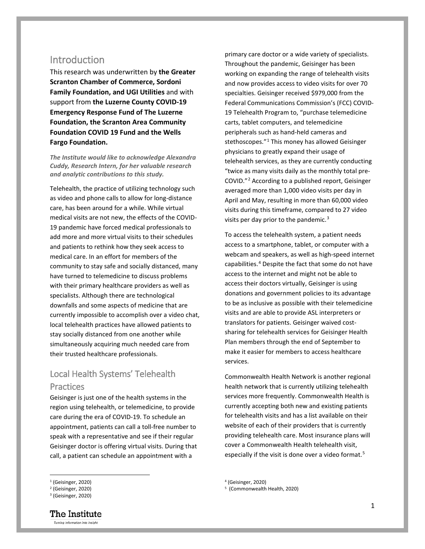### **Introduction**

This research was underwritten by **the Greater Scranton Chamber of Commerce, Sordoni Family Foundation, and UGI Utilities** and with support from **the Luzerne County COVID-19 Emergency Response Fund of The Luzerne Foundation, the Scranton Area Community Foundation COVID 19 Fund and the Wells Fargo Foundation.**

*The Institute would like to acknowledge Alexandra Cuddy, Research Intern, for her valuable research and analytic contributions to this study.*

Telehealth, the practice of utilizing technology such as video and phone calls to allow for long-distance care, has been around for a while. While virtual medical visits are not new, the effects of the COVID-19 pandemic have forced medical professionals to add more and more virtual visits to their schedules and patients to rethink how they seek access to medical care. In an effort for members of the community to stay safe and socially distanced, many have turned to telemedicine to discuss problems with their primary healthcare providers as well as specialists. Although there are technological downfalls and some aspects of medicine that are currently impossible to accomplish over a video chat, local telehealth practices have allowed patients to stay socially distanced from one another while simultaneously acquiring much needed care from their trusted healthcare professionals.

## Local Health Systems' Telehealth **Practices**

Geisinger is just one of the health systems in the region using telehealth, or telemedicine, to provide care during the era of COVID-19. To schedule an appointment, patients can call a toll-free number to speak with a representative and see if their regular Geisinger doctor is offering virtual visits. During that call, a patient can schedule an appointment with a

primary care doctor or a wide variety of specialists. Throughout the pandemic, Geisinger has been working on expanding the range of telehealth visits and now provides access to video visits for over 70 specialties. Geisinger received \$979,000 from the Federal Communications Commission's (FCC) COVID-19 Telehealth Program to, "purchase telemedicine carts, tablet computers, and telemedicine peripherals such as hand-held cameras and stethoscopes."<sup>[1](#page-1-0)</sup> This money has allowed Geisinger physicians to greatly expand their usage of telehealth services, as they are currently conducting "twice as many visits daily as the monthly total pre-COVID."[2](#page-1-1) According to a published report, Geisinger averaged more than 1,000 video visits per day in April and May, resulting in more than 60,000 video visits during this timeframe, compared to 27 video visits per day prior to the pandemic.<sup>[3](#page-1-2)</sup>

To access the telehealth system, a patient needs access to a smartphone, tablet, or computer with a webcam and speakers, as well as high-speed internet capabilities.<sup>[4](#page-1-0)</sup> Despite the fact that some do not have access to the internet and might not be able to access their doctors virtually, Geisinger is using donations and government policies to its advantage to be as inclusive as possible with their telemedicine visits and are able to provide ASL interpreters or translators for patients. Geisinger waived costsharing for telehealth services for Geisinger Health Plan members through the end of September to make it easier for members to access healthcare services.

Commonwealth Health Network is another regional health network that is currently utilizing telehealth services more frequently. Commonwealth Health is currently accepting both new and existing patients for telehealth visits and has a list available on their website of each of their providers that is currently providing telehealth care. Most insurance plans will cover a Commonwealth Health telehealth visit, especially if the visit is done over a video format.<sup>[5](#page-1-1)</sup>

The Institute Turning Information into Insight

<sup>4</sup> (Geisinger, 2020)

<sup>5</sup> (Commonwealth Health, 2020)

<span id="page-1-0"></span> $<sup>1</sup>$  (Geisinger, 2020)</sup>

<span id="page-1-1"></span><sup>2</sup> (Geisinger, 2020)

<span id="page-1-2"></span><sup>&</sup>lt;sup>3</sup> (Geisinger, 2020)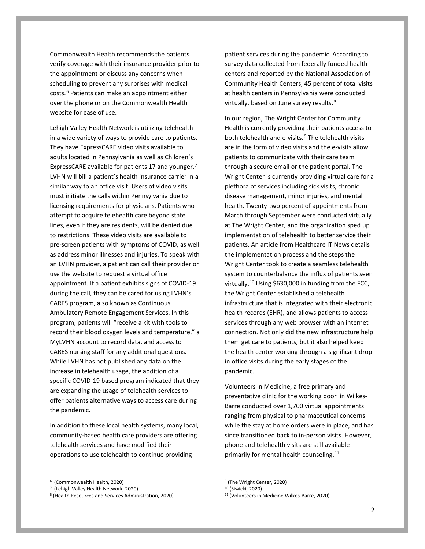Commonwealth Health recommends the patients verify coverage with their insurance provider prior to the appointment or discuss any concerns when scheduling to prevent any surprises with medical costs.[6](#page-2-0) Patients can make an appointment either over the phone or on the Commonwealth Health website for ease of use.

Lehigh Valley Health Network is utilizing telehealth in a wide variety of ways to provide care to patients. They have ExpressCARE video visits available to adults located in Pennsylvania as well as Children's ExpressCARE available for patients 17 and younger.[7](#page-2-1) LVHN will bill a patient's health insurance carrier in a similar way to an office visit. Users of video visits must initiate the calls within Pennsylvania due to licensing requirements for physicians. Patients who attempt to acquire telehealth care beyond state lines, even if they are residents, will be denied due to restrictions. These video visits are available to pre-screen patients with symptoms of COVID, as well as address minor illnesses and injuries. To speak with an LVHN provider, a patient can call their provider or use the website to request a virtual office appointment. If a patient exhibits signs of COVID-19 during the call, they can be cared for using LVHN's CARES program, also known as Continuous Ambulatory Remote Engagement Services. In this program, patients will "receive a kit with tools to record their blood oxygen levels and temperature," a MyLVHN account to record data, and access to CARES nursing staff for any additional questions. While LVHN has not published any data on the increase in telehealth usage, the addition of a specific COVID-19 based program indicated that they are expanding the usage of telehealth services to offer patients alternative ways to access care during the pandemic.

In addition to these local health systems, many local, community-based health care providers are offering telehealth services and have modified their operations to use telehealth to continue providing

patient services during the pandemic. According to survey data collected from federally funded health centers and reported by the National Association of Community Health Centers, 45 percent of total visits at health centers in Pennsylvania were conducted virtually, based on June survey results.<sup>[8](#page-2-2)</sup>

In our region, The Wright Center for Community Health is currently providing their patients access to both telehealth and e-visits.<sup>[9](#page-2-0)</sup> The telehealth visits are in the form of video visits and the e-visits allow patients to communicate with their care team through a secure email or the patient portal. The Wright Center is currently providing virtual care for a plethora of services including sick visits, chronic disease management, minor injuries, and mental health. Twenty-two percent of appointments from March through September were conducted virtually at The Wright Center, and the organization sped up implementation of telehealth to better service their patients. An article from Healthcare IT News details the implementation process and the steps the Wright Center took to create a seamless telehealth system to counterbalance the influx of patients seen virtually.[10](#page-2-1) Using \$630,000 in funding from the FCC, the Wright Center established a telehealth infrastructure that is integrated with their electronic health records (EHR), and allows patients to access services through any web browser with an internet connection. Not only did the new infrastructure help them get care to patients, but it also helped keep the health center working through a significant drop in office visits during the early stages of the pandemic.

Volunteers in Medicine, a free primary and preventative clinic for the working poor in Wilkes-Barre conducted over 1,700 virtual appointments ranging from physical to pharmaceutical concerns while the stay at home orders were in place, and has since transitioned back to in-person visits. However, phone and telehealth visits are still available primarily for mental health counseling.<sup>[11](#page-2-2)</sup>

<span id="page-2-0"></span> <sup>6</sup> (Commonwealth Health, 2020)

<sup>7</sup> (Lehigh Valley Health Network, 2020)

<span id="page-2-2"></span><span id="page-2-1"></span><sup>8</sup> (Health Resources and Services Administration, 2020)

<sup>&</sup>lt;sup>9</sup> (The Wright Center, 2020)

<sup>10</sup> (Siwicki, 2020)

<sup>11</sup> (Volunteers in Medicine Wilkes-Barre, 2020)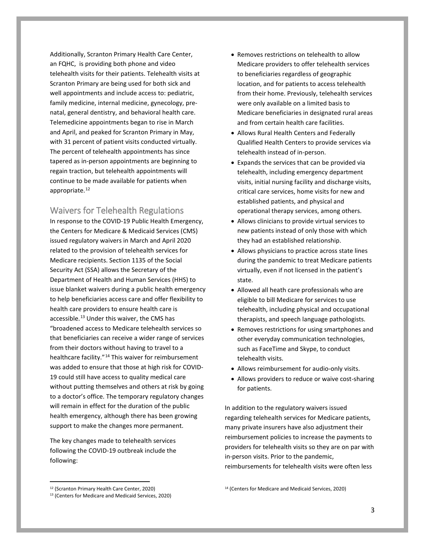Additionally, Scranton Primary Health Care Center, an FQHC, is providing both phone and video telehealth visits for their patients. Telehealth visits at Scranton Primary are being used for both sick and well appointments and include access to: pediatric, family medicine, internal medicine, gynecology, prenatal, general dentistry, and behavioral health care. Telemedicine appointments began to rise in March and April, and peaked for Scranton Primary in May, with 31 percent of patient visits conducted virtually. The percent of telehealth appointments has since tapered as in-person appointments are beginning to regain traction, but telehealth appointments will continue to be made available for patients when appropriate.<sup>[12](#page-3-0)</sup>

### Waivers for Telehealth Regulations

In response to the COVID-19 Public Health Emergency, the Centers for Medicare & Medicaid Services (CMS) issued regulatory waivers in March and April 2020 related to the provision of telehealth services for Medicare recipients. Section 1135 of the Social Security Act (SSA) allows the Secretary of the Department of Health and Human Services (HHS) to issue blanket waivers during a public health emergency to help beneficiaries access care and offer flexibility to health care providers to ensure health care is accessible.[13](#page-3-1) Under this waiver, the CMS has "broadened access to Medicare telehealth services so that beneficiaries can receive a wider range of services from their doctors without having to travel to a healthcare facility."[14](#page-3-0) This waiver for reimbursement was added to ensure that those at high risk for COVID-19 could still have access to quality medical care without putting themselves and others at risk by going to a doctor's office. The temporary regulatory changes will remain in effect for the duration of the public health emergency, although there has been growing support to make the changes more permanent.

The key changes made to telehealth services following the COVID-19 outbreak include the following:

- Removes restrictions on telehealth to allow Medicare providers to offer telehealth services to beneficiaries regardless of geographic location, and for patients to access telehealth from their home. Previously, telehealth services were only available on a limited basis to Medicare beneficiaries in designated rural areas and from certain health care facilities.
- Allows Rural Health Centers and Federally Qualified Health Centers to provide services via telehealth instead of in-person.
- Expands the services that can be provided via telehealth, including emergency department visits, initial nursing facility and discharge visits, critical care services, home visits for new and established patients, and physical and operational therapy services, among others.
- Allows clinicians to provide virtual services to new patients instead of only those with which they had an established relationship.
- Allows physicians to practice across state lines during the pandemic to treat Medicare patients virtually, even if not licensed in the patient's state.
- Allowed all heath care professionals who are eligible to bill Medicare for services to use telehealth, including physical and occupational therapists, and speech language pathologists.
- Removes restrictions for using smartphones and other everyday communication technologies, such as FaceTime and Skype, to conduct telehealth visits.
- Allows reimbursement for audio-only visits.
- Allows providers to reduce or waive cost-sharing for patients.

In addition to the regulatory waivers issued regarding telehealth services for Medicare patients, many private insurers have also adjustment their reimbursement policies to increase the payments to providers for telehealth visits so they are on par with in-person visits. Prior to the pandemic, reimbursements for telehealth visits were often less

<span id="page-3-0"></span> <sup>12</sup> (Scranton Primary Health Care Center, 2020)

<span id="page-3-1"></span><sup>13</sup> (Centers for Medicare and Medicaid Services, 2020)

<sup>14</sup> (Centers for Medicare and Medicaid Services, 2020)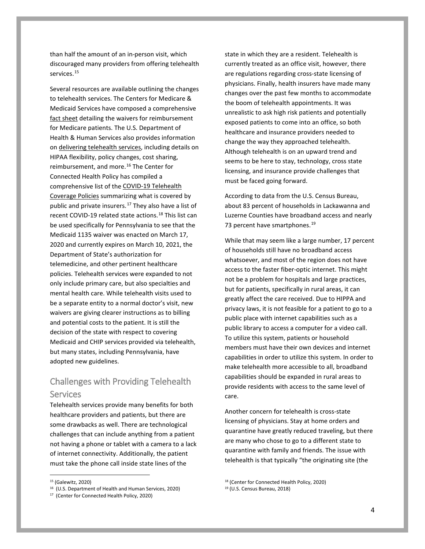than half the amount of an in-person visit, which discouraged many providers from offering telehealth services.<sup>[15](#page-4-0)</sup>

Several resources are available outlining the changes to telehealth services. The Centers for Medicare & Medicaid Services have composed a comprehensive [fact sheet](https://www.cms.gov/newsroom/fact-sheets/medicare-telemedicine-health-care-provider-fact-sheet) detailing the waivers for reimbursement for Medicare patients. The U.S. Department of Health & Human Services also provides information on [delivering telehealth services,](https://www.hhs.gov/coronavirus/telehealth/index.html) including details on HIPAA flexibility, policy changes, cost sharing, reimbursement, and more.<sup>[16](#page-4-1)</sup> The Center for Connected Health Policy has compiled a comprehensive list of the [COVID-19 Telehealth](https://www.cchpca.org/resources/covid-19-telehealth-coverage-policies)  [Coverage Policies](https://www.cchpca.org/resources/covid-19-telehealth-coverage-policies) summarizing what is covered by public and private insurers.<sup>[17](#page-4-2)</sup> They also have a list of recent COVID-19 related state actions.<sup>[18](#page-4-0)</sup> This list can be used specifically for Pennsylvania to see that the Medicaid 1135 waiver was enacted on March 17, 2020 and currently expires on March 10, 2021, the Department of State's authorization for telemedicine, and other pertinent healthcare policies. Telehealth services were expanded to not only include primary care, but also specialties and mental health care. While telehealth visits used to be a separate entity to a normal doctor's visit, new waivers are giving clearer instructions as to billing and potential costs to the patient. It is still the decision of the state with respect to covering Medicaid and CHIP services provided via telehealth, but many states, including Pennsylvania, have adopted new guidelines.

# Challenges with Providing Telehealth Services

Telehealth services provide many benefits for both healthcare providers and patients, but there are some drawbacks as well. There are technological challenges that can include anything from a patient not having a phone or tablet with a camera to a lack of internet connectivity. Additionally, the patient must take the phone call inside state lines of the

state in which they are a resident. Telehealth is currently treated as an office visit, however, there are regulations regarding cross-state licensing of physicians. Finally, health insurers have made many changes over the past few months to accommodate the boom of telehealth appointments. It was unrealistic to ask high risk patients and potentially exposed patients to come into an office, so both healthcare and insurance providers needed to change the way they approached telehealth. Although telehealth is on an upward trend and seems to be here to stay, technology, cross state licensing, and insurance provide challenges that must be faced going forward.

According to data from the U.S. Census Bureau, about 83 percent of households in Lackawanna and Luzerne Counties have broadband access and nearly 73 percent have smartphones.<sup>[19](#page-4-1)</sup>

While that may seem like a large number, 17 percent of households still have no broadband access whatsoever, and most of the region does not have access to the faster fiber-optic internet. This might not be a problem for hospitals and large practices, but for patients, specifically in rural areas, it can greatly affect the care received. Due to HIPPA and privacy laws, it is not feasible for a patient to go to a public place with internet capabilities such as a public library to access a computer for a video call. To utilize this system, patients or household members must have their own devices and internet capabilities in order to utilize this system. In order to make telehealth more accessible to all, broadband capabilities should be expanded in rural areas to provide residents with access to the same level of care.

Another concern for telehealth is cross-state licensing of physicians. Stay at home orders and quarantine have greatly reduced traveling, but there are many who chose to go to a different state to quarantine with family and friends. The issue with telehealth is that typically "the originating site (the

<span id="page-4-0"></span> <sup>15</sup> (Galewitz, 2020)

<sup>16</sup> (U.S. Department of Health and Human Services, 2020)

<span id="page-4-2"></span><span id="page-4-1"></span><sup>17</sup> (Center for Connected Health Policy, 2020)

<sup>18</sup> (Center for Connected Health Policy, 2020)

<sup>19</sup> (U.S. Census Bureau, 2018)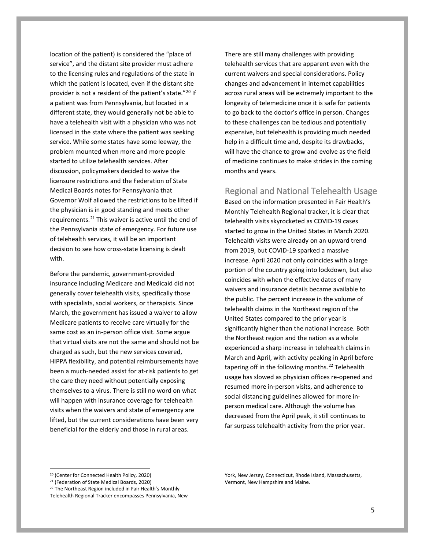location of the patient) is considered the "place of service", and the distant site provider must adhere to the licensing rules and regulations of the state in which the patient is located, even if the distant site provider is not a resident of the patient's state."[20](#page-5-0) If a patient was from Pennsylvania, but located in a different state, they would generally not be able to have a telehealth visit with a physician who was not licensed in the state where the patient was seeking service. While some states have some leeway, the problem mounted when more and more people started to utilize telehealth services. After discussion, policymakers decided to waive the licensure restrictions and the Federation of State Medical Boards notes for Pennsylvania that Governor Wolf allowed the restrictions to be lifted if the physician is in good standing and meets other requirements.<sup>[21](#page-5-1)</sup> This waiver is active until the end of the Pennsylvania state of emergency. For future use of telehealth services, it will be an important decision to see how cross-state licensing is dealt with.

Before the pandemic, government-provided insurance including Medicare and Medicaid did not generally cover telehealth visits, specifically those with specialists, social workers, or therapists. Since March, the government has issued a waiver to allow Medicare patients to receive care virtually for the same cost as an in-person office visit. Some argue that virtual visits are not the same and should not be charged as such, but the new services covered, HIPPA flexibility, and potential reimbursements have been a much-needed assist for at-risk patients to get the care they need without potentially exposing themselves to a virus. There is still no word on what will happen with insurance coverage for telehealth visits when the waivers and state of emergency are lifted, but the current considerations have been very beneficial for the elderly and those in rural areas.

There are still many challenges with providing telehealth services that are apparent even with the current waivers and special considerations. Policy changes and advancement in internet capabilities across rural areas will be extremely important to the longevity of telemedicine once it is safe for patients to go back to the doctor's office in person. Changes to these challenges can be tedious and potentially expensive, but telehealth is providing much needed help in a difficult time and, despite its drawbacks, will have the chance to grow and evolve as the field of medicine continues to make strides in the coming months and years.

#### Regional and National Telehealth Usage

Based on the information presented in Fair Health's Monthly Telehealth Regional tracker, it is clear that telehealth visits skyrocketed as COVID-19 cases started to grow in the United States in March 2020. Telehealth visits were already on an upward trend from 2019, but COVID-19 sparked a massive increase. April 2020 not only coincides with a large portion of the country going into lockdown, but also coincides with when the effective dates of many waivers and insurance details became available to the public. The percent increase in the volume of telehealth claims in the Northeast region of the United States compared to the prior year is significantly higher than the national increase. Both the Northeast region and the nation as a whole experienced a sharp increase in telehealth claims in March and April, with activity peaking in April before tapering off in the following months.<sup>[22](#page-5-2)</sup> Telehealth usage has slowed as physician offices re-opened and resumed more in-person visits, and adherence to social distancing guidelines allowed for more inperson medical care. Although the volume has decreased from the April peak, it still continues to far surpass telehealth activity from the prior year.

<span id="page-5-0"></span> <sup>20</sup> (Center for Connected Health Policy, 2020)

<span id="page-5-1"></span><sup>21</sup> (Federation of State Medical Boards, 2020)

<span id="page-5-2"></span><sup>&</sup>lt;sup>22</sup> The Northeast Region included in Fair Health's Monthly Telehealth Regional Tracker encompasses Pennsylvania, New

York, New Jersey, Connecticut, Rhode Island, Massachusetts, Vermont, New Hampshire and Maine.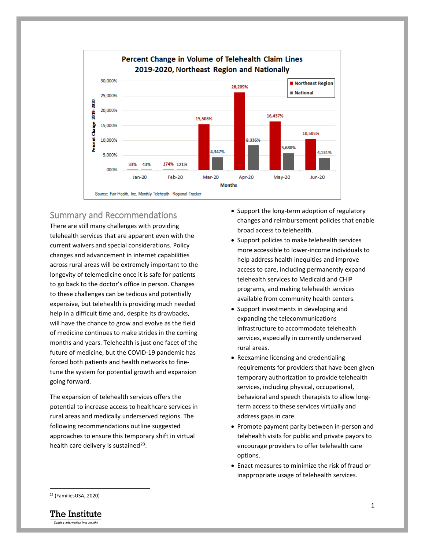

## Summary and Recommendations

There are still many challenges with providing telehealth services that are apparent even with the current waivers and special considerations. Policy changes and advancement in internet capabilities across rural areas will be extremely important to the longevity of telemedicine once it is safe for patients to go back to the doctor's office in person. Changes to these challenges can be tedious and potentially expensive, but telehealth is providing much needed help in a difficult time and, despite its drawbacks, will have the chance to grow and evolve as the field of medicine continues to make strides in the coming months and years. Telehealth is just one facet of the future of medicine, but the COVID-19 pandemic has forced both patients and health networks to finetune the system for potential growth and expansion going forward.

The expansion of telehealth services offers the potential to increase access to healthcare services in rural areas and medically underserved regions. The following recommendations outline suggested approaches to ensure this temporary shift in virtual health care delivery is sustained $^{23}$  $^{23}$  $^{23}$ :

- Support the long-term adoption of regulatory changes and reimbursement policies that enable broad access to telehealth.
- Support policies to make telehealth services more accessible to lower-income individuals to help address health inequities and improve access to care, including permanently expand telehealth services to Medicaid and CHIP programs, and making telehealth services available from community health centers.
- Support investments in developing and expanding the telecommunications infrastructure to accommodate telehealth services, especially in currently underserved rural areas.
- Reexamine licensing and credentialing requirements for providers that have been given temporary authorization to provide telehealth services, including physical, occupational, behavioral and speech therapists to allow longterm access to these services virtually and address gaps in care.
- Promote payment parity between in-person and telehealth visits for public and private payors to encourage providers to offer telehealth care options.
- Enact measures to minimize the risk of fraud or inappropriate usage of telehealth services.

<span id="page-6-0"></span> <sup>23</sup> (FamiliesUSA, 2020)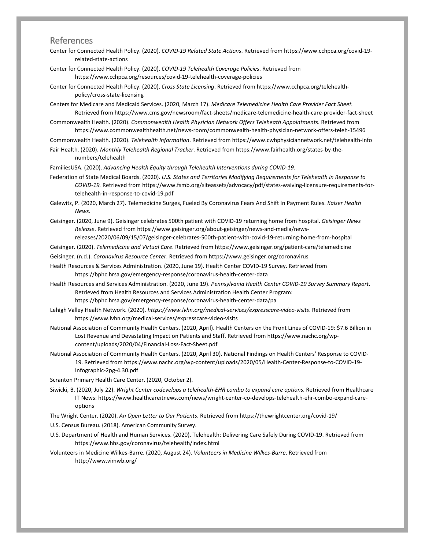### References

- Center for Connected Health Policy. (2020). *COVID-19 Related State Actions*. Retrieved from https://www.cchpca.org/covid-19 related-state-actions
- Center for Connected Health Policy. (2020). *COVID-19 Telehealth Coverage Policies*. Retrieved from https://www.cchpca.org/resources/covid-19-telehealth-coverage-policies
- Center for Connected Health Policy. (2020). *Cross State Licensing*. Retrieved from https://www.cchpca.org/telehealthpolicy/cross-state-licensing
- Centers for Medicare and Medicaid Services. (2020, March 17). *Medicare Telemedicine Health Care Provider Fact Sheet.* Retrieved from https://www.cms.gov/newsroom/fact-sheets/medicare-telemedicine-health-care-provider-fact-sheet
- Commonwealth Health. (2020). *Commonwealth Health Physician Network Offers Teleheath Appointments*. Retrieved from https://www.commonwealthhealth.net/news-room/commonwealth-health-physician-network-offers-teleh-15496
- Commonwealth Health. (2020). *Telehealth Information*. Retrieved from https://www.cwhphysiciannetwork.net/telehealth-info

Fair Health. (2020). *Monthly Telehealth Regional Tracker*. Retrieved from https://www.fairhealth.org/states-by-thenumbers/telehealth

FamiliesUSA. (2020). *Advancing Health Equity through Telehealth Interventions during COVID-19.*

- Federation of State Medical Boards. (2020). *U.S. States and Territories Modifying Requirements for Telehealth in Response to COVID-19.* Retrieved from https://www.fsmb.org/siteassets/advocacy/pdf/states-waiving-licensure-requirements-fortelehealth-in-response-to-covid-19.pdf
- Galewitz, P. (2020, March 27). Telemedicine Surges, Fueled By Coronavirus Fears And Shift In Payment Rules. *Kaiser Health News*.
- Geisinger. (2020, June 9). Geisinger celebrates 500th patient with COVID-19 returning home from hospital. *Geisinger News Release*. Retrieved from https://www.geisinger.org/about-geisinger/news-and-media/newsreleases/2020/06/09/15/07/geisinger-celebrates-500th-patient-with-covid-19-returning-home-from-hospital

Geisinger. (2020). *Telemedicine and Virtual Care*. Retrieved from https://www.geisinger.org/patient-care/telemedicine

Geisinger. (n.d.). *Coronavirus Resource Center*. Retrieved from https://www.geisinger.org/coronavirus

- Health Resources & Services Administration. (2020, June 19). Health Center COVID-19 Survey. Retrieved from https://bphc.hrsa.gov/emergency-response/coronavirus-health-center-data
- Health Resources and Services Administration. (2020, June 19). *Pennsylvania Health Center COVID-19 Survey Summary Report*. Retrieved from Health Resources and Services Administration Health Center Program: https://bphc.hrsa.gov/emergency-response/coronavirus-health-center-data/pa
- Lehigh Valley Health Network. (2020). *https://www.lvhn.org/medical-services/expresscare-video-visits*. Retrieved from https://www.lvhn.org/medical-services/expresscare-video-visits
- National Association of Community Health Centers. (2020, April). Health Centers on the Front Lines of COVID-19: \$7.6 Billion in Lost Revenue and Devastating Impact on Patients and Staff. Retrieved from https://www.nachc.org/wpcontent/uploads/2020/04/Financial-Loss-Fact-Sheet.pdf
- National Association of Community Health Centers. (2020, April 30). National Findings on Health Centers' Response to COVID-19. Retrieved from https://www.nachc.org/wp-content/uploads/2020/05/Health-Center-Response-to-COVID-19- Infographic-2pg-4.30.pdf

Scranton Primary Health Care Center. (2020, October 2).

- Siwicki, B. (2020, July 22). *Wright Center codevelops a telehealth-EHR combo to expand care options*. Retrieved from Healthcare IT News: https://www.healthcareitnews.com/news/wright-center-co-develops-telehealth-ehr-combo-expand-careoptions
- The Wright Center. (2020). *An Open Letter to Our Patients*. Retrieved from https://thewrightcenter.org/covid-19/
- U.S. Census Bureau. (2018). American Community Survey.
- U.S. Department of Health and Human Services. (2020). Telehealth: Delivering Care Safely During COVID-19. Retrieved from https://www.hhs.gov/coronavirus/telehealth/index.html
- Volunteers in Medicine Wilkes-Barre. (2020, August 24). *Volunteers in Medicine Wilkes-Barre*. Retrieved from http://www.vimwb.org/